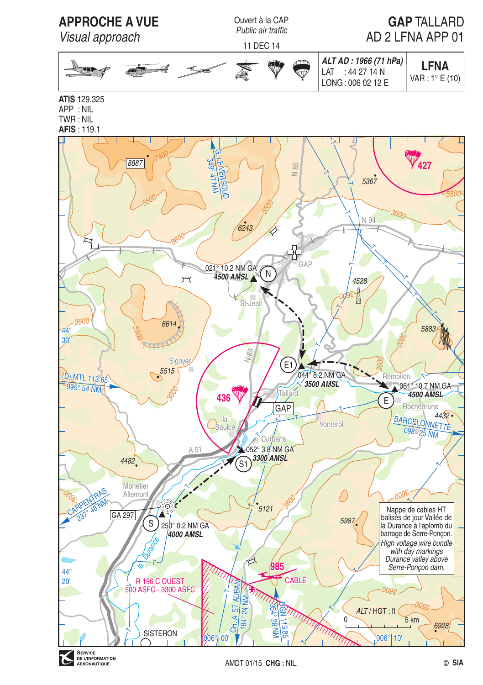

**SERVICE**<br>DE L'INFORMATION r. AERONAUTIQUE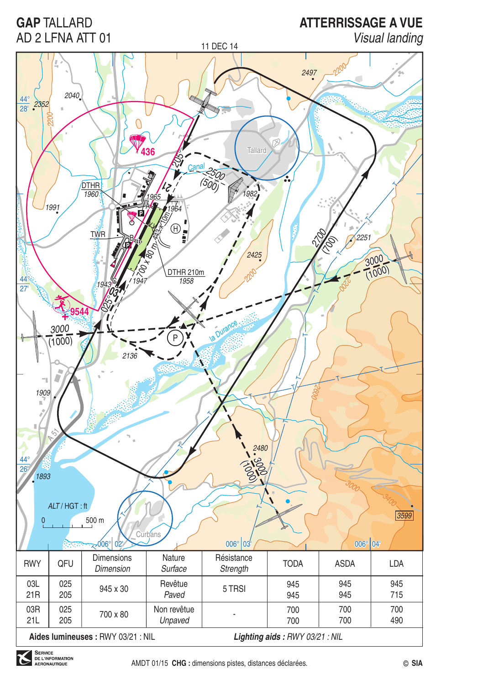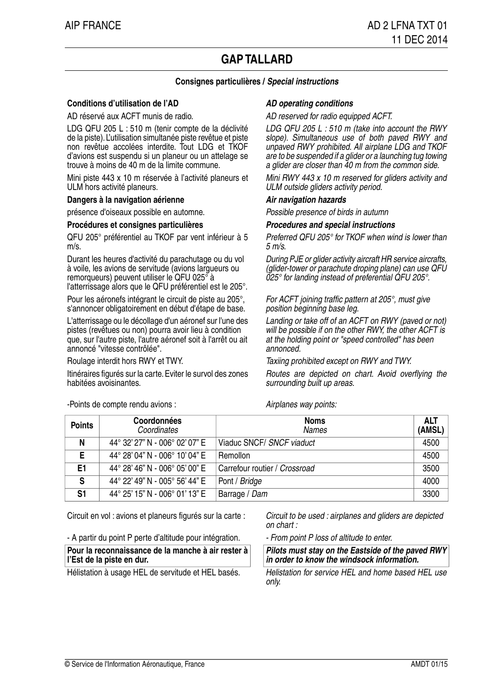# **GAPTALLARD**

# **Consignes particulières / Special instructions**

## **Conditions d'utilisation de l'AD AD AD** operating conditions

AD réservé aux ACFT munis de radio. AD reserved for radio equipped ACFT.

LDG QFU 205 L : 510 m (tenir compte de la déclivité de la piste). L'utilisation simultanée piste revêtue et piste non revêtue accolées interdite. Tout LDG et TKOF d'avions est suspendu si un planeur ou un attelage se trouve à moins de 40 m de la limite commune.

Mini piste 443 x 10 m réservée à l'activité planeurs et ULM hors activité planeurs.

### **Dangers à la navigation aérienne Air navigation hazards**

présence d'oiseaux possible en automne. Possible presence of birds in autumn

### **Procédures et consignes particulières Procedures and special instructions**

QFU 205° préférentiel au TKOF par vent inférieur à 5 m/s.

Durant les heures d'activité du parachutage ou du vol à voile, les avions de servitude (avions largueurs ou remorqueurs) peuvent utiliser le QFU 025° à l'atterrissage alors que le QFU préférentiel est le 205°.

Pour les aéronefs intégrant le circuit de piste au 205°, s'annoncer obligatoirement en début d'étape de base.

L'atterrissage ou le décollage d'un aéronef sur l'une des pistes (revêtues ou non) pourra avoir lieu à condition que, sur l'autre piste. l'autre aéronef soit à l'arrêt ou ait annoncé "vitesse contrôlée".

Itinéraires figurés sur la carte. Eviter le survol des zones habitées avoisinantes.

-Points de compte rendu avions : Airplanes way points:

LDG QFU 205 L : 510 m (take into account the RWY slope). Simultaneous use of both paved RWY and unpaved RWY prohibited. All airplane LDG and TKOF are to be suspended if a glider or a launching tug towing a glider are closer than 40 m from the common side.

Mini RWY 443 x 10 m reserved for gliders activity and ULM outside gliders activity period.

Preferred QFU 205° for TKOF when wind is lower than  $5 m/s$ 

During PJE or glider activity aircraft HR service aircrafts, (glider-tower or parachute droping plane) can use QFU 025° for landing instead of preferential QFU 205°.

For ACFT joining traffic pattern at 205°, must give position beginning base leg.

Landing or take off of an ACFT on RWY (paved or not) will be possible if on the other RWY, the other ACFT is at the holding point or "speed controlled" has been annonced.

Roulage interdit hors RWY et TWY. Taxiing prohibited except on RWY and TWY.

Routes are depicted on chart. Avoid overflying the surrounding built up areas.

| <b>Points</b> | Coordonnées<br>Coordinates     | <b>Noms</b><br><b>Names</b>   | <b>ALT</b><br>(AMSL) |
|---------------|--------------------------------|-------------------------------|----------------------|
| N             | 44° 32' 27" N - 006° 02' 07" E | Viaduc SNCF/ SNCF viaduct     | 4500                 |
| Е             | 44° 28' 04" N - 006° 10' 04" E | Remollon                      | 4500                 |
| E1            | 44° 28' 46" N - 006° 05' 00" E | Carrefour routier / Crossroad | 3500                 |
| S             | 44° 22' 49" N - 005° 56' 44" E | Pont / Bridge                 | 4000                 |
| S1            | 44° 25' 15" N - 006° 01' 13" E | Barrage / Dam                 | 3300                 |

Circuit en vol : avions et planeurs figurés sur la carte :

- A partir du point P perte d'altitude pour intégration. - From point P loss of altitude to enter.

**Pour la reconnaissance de la manche à air rester à l'Est de la piste en dur.**

Hélistation à usage HEL de servitude et HEL basés.

Circuit to be used : airplanes and gliders are depicted on chart :

**Pilots must stay on the Eastside of the paved RWY in order to know the windsock information.**

Helistation for service HEL and home based HEL use only.